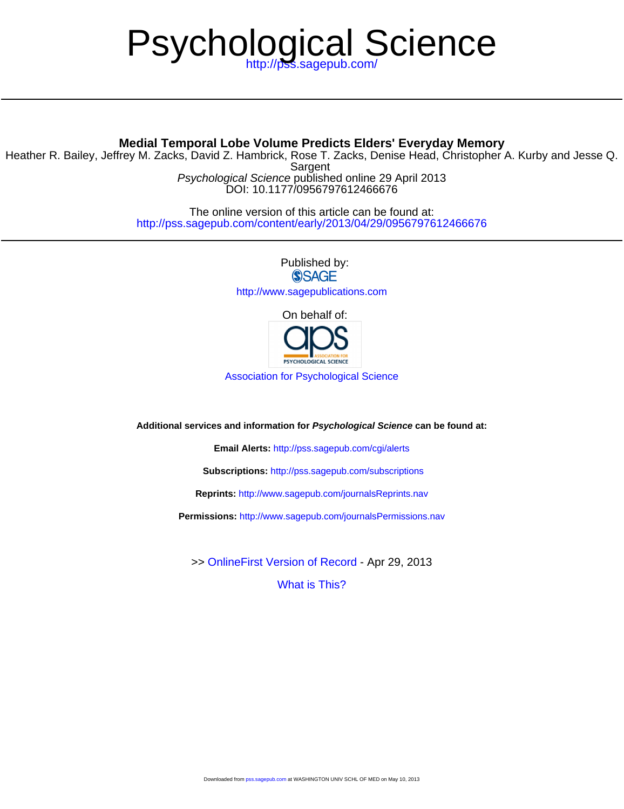# Psychological Science

**Medial Temporal Lobe Volume Predicts Elders' Everyday Memory**

**Sargent** Heather R. Bailey, Jeffrey M. Zacks, David Z. Hambrick, Rose T. Zacks, Denise Head, Christopher A. Kurby and Jesse Q.

DOI: 10.1177/0956797612466676 Psychological Science published online 29 April 2013

<http://pss.sagepub.com/content/early/2013/04/29/0956797612466676> The online version of this article can be found at:

> Published by: **SSAGE** <http://www.sagepublications.com>

> > On behalf of:



[Association for Psychological Science](http://www.psychologicalscience.org/)

**Additional services and information for Psychological Science can be found at:**

**Email Alerts:** <http://pss.sagepub.com/cgi/alerts>

**Subscriptions:** <http://pss.sagepub.com/subscriptions>

**Reprints:** <http://www.sagepub.com/journalsReprints.nav>

**Permissions:** <http://www.sagepub.com/journalsPermissions.nav>

[What is This?](http://online.sagepub.com/site/sphelp/vorhelp.xhtml) >> [OnlineFirst Version of Record -](http://pss.sagepub.com/content/early/2013/04/29/0956797612466676.full.pdf) Apr 29, 2013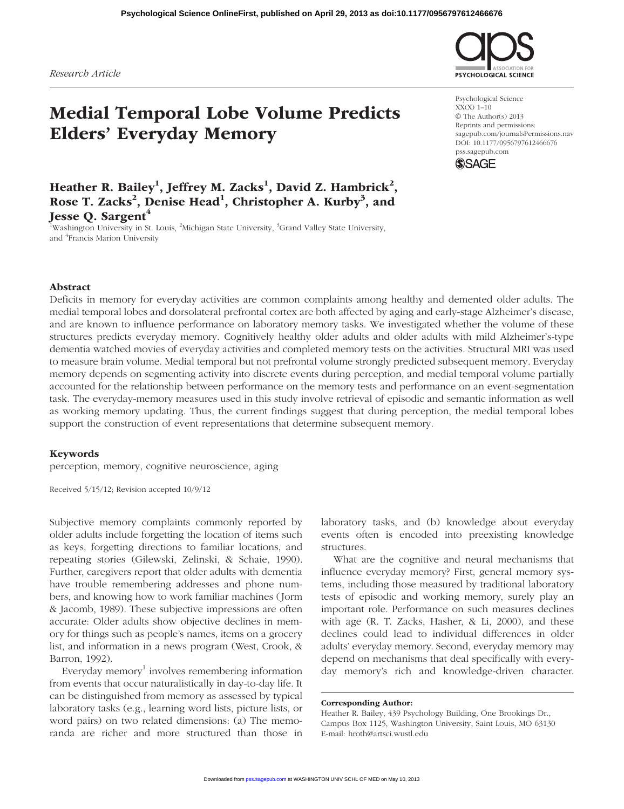*Research Article*

# Medial Temporal Lobe Volume Predicts Elders' Everyday Memory



PSYCHOLOGICAL SCIENCE



# Heather R. Bailey<sup>1</sup>, Jeffrey M. Zacks<sup>1</sup>, David Z. Hambrick<sup>2</sup>, Rose T. Zacks<sup>2</sup>, Denise Head<sup>1</sup>, Christopher A. Kurby<sup>3</sup>, and Jesse Q. Sargent<sup>4</sup>

<sup>1</sup>Washington University in St. Louis, <sup>2</sup>Michigan State University, <sup>3</sup>Grand Valley State University, and <sup>4</sup>Francis Marion University

#### Abstract

Deficits in memory for everyday activities are common complaints among healthy and demented older adults. The medial temporal lobes and dorsolateral prefrontal cortex are both affected by aging and early-stage Alzheimer's disease, and are known to influence performance on laboratory memory tasks. We investigated whether the volume of these structures predicts everyday memory. Cognitively healthy older adults and older adults with mild Alzheimer's-type dementia watched movies of everyday activities and completed memory tests on the activities. Structural MRI was used to measure brain volume. Medial temporal but not prefrontal volume strongly predicted subsequent memory. Everyday memory depends on segmenting activity into discrete events during perception, and medial temporal volume partially accounted for the relationship between performance on the memory tests and performance on an event-segmentation task. The everyday-memory measures used in this study involve retrieval of episodic and semantic information as well as working memory updating. Thus, the current findings suggest that during perception, the medial temporal lobes support the construction of event representations that determine subsequent memory.

#### Keywords

perception, memory, cognitive neuroscience, aging

Received 5/15/12; Revision accepted 10/9/12

Subjective memory complaints commonly reported by older adults include forgetting the location of items such as keys, forgetting directions to familiar locations, and repeating stories (Gilewski, Zelinski, & Schaie, 1990). Further, caregivers report that older adults with dementia have trouble remembering addresses and phone numbers, and knowing how to work familiar machines (Jorm & Jacomb, 1989). These subjective impressions are often accurate: Older adults show objective declines in memory for things such as people's names, items on a grocery list, and information in a news program (West, Crook, & Barron, 1992).

Everyday memory<sup>1</sup> involves remembering information from events that occur naturalistically in day-to-day life. It can be distinguished from memory as assessed by typical laboratory tasks (e.g., learning word lists, picture lists, or word pairs) on two related dimensions: (a) The memoranda are richer and more structured than those in

laboratory tasks, and (b) knowledge about everyday events often is encoded into preexisting knowledge structures.

What are the cognitive and neural mechanisms that influence everyday memory? First, general memory systems, including those measured by traditional laboratory tests of episodic and working memory, surely play an important role. Performance on such measures declines with age (R. T. Zacks, Hasher, & Li, 2000), and these declines could lead to individual differences in older adults' everyday memory. Second, everyday memory may depend on mechanisms that deal specifically with everyday memory's rich and knowledge-driven character.

#### Corresponding Author:

Heather R. Bailey, 439 Psychology Building, One Brookings Dr., Campus Box 1125, Washington University, Saint Louis, MO 63130 E-mail: hroth@artsci.wustl.edu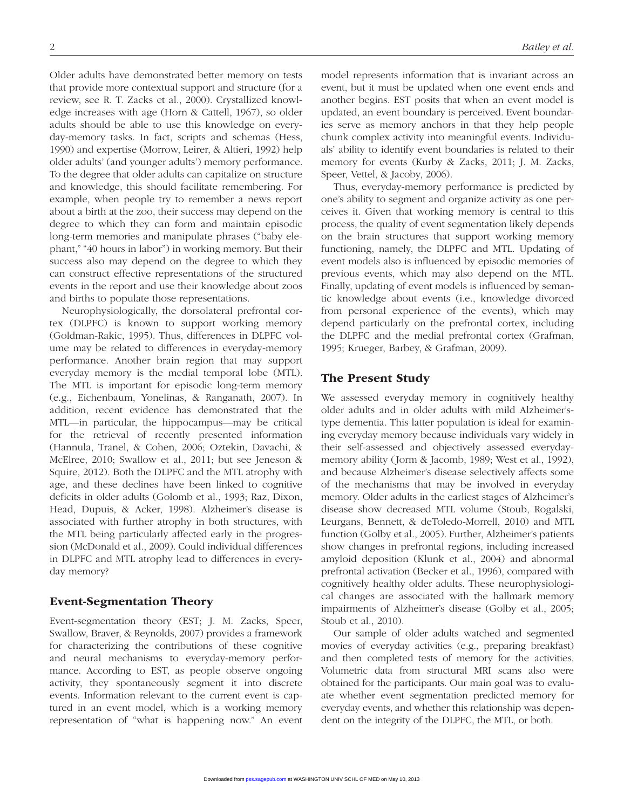Older adults have demonstrated better memory on tests that provide more contextual support and structure (for a review, see R. T. Zacks et al., 2000). Crystallized knowledge increases with age (Horn & Cattell, 1967), so older adults should be able to use this knowledge on everyday-memory tasks. In fact, scripts and schemas (Hess, 1990) and expertise (Morrow, Leirer, & Altieri, 1992) help older adults' (and younger adults') memory performance. To the degree that older adults can capitalize on structure and knowledge, this should facilitate remembering. For example, when people try to remember a news report about a birth at the zoo, their success may depend on the degree to which they can form and maintain episodic long-term memories and manipulate phrases ("baby elephant," "40 hours in labor") in working memory. But their success also may depend on the degree to which they can construct effective representations of the structured events in the report and use their knowledge about zoos and births to populate those representations.

Neurophysiologically, the dorsolateral prefrontal cortex (DLPFC) is known to support working memory (Goldman-Rakic, 1995). Thus, differences in DLPFC volume may be related to differences in everyday-memory performance. Another brain region that may support everyday memory is the medial temporal lobe (MTL). The MTL is important for episodic long-term memory (e.g., Eichenbaum, Yonelinas, & Ranganath, 2007). In addition, recent evidence has demonstrated that the MTL—in particular, the hippocampus—may be critical for the retrieval of recently presented information (Hannula, Tranel, & Cohen, 2006; Oztekin, Davachi, & McElree, 2010; Swallow et al., 2011; but see Jeneson & Squire, 2012). Both the DLPFC and the MTL atrophy with age, and these declines have been linked to cognitive deficits in older adults (Golomb et al., 1993; Raz, Dixon, Head, Dupuis, & Acker, 1998). Alzheimer's disease is associated with further atrophy in both structures, with the MTL being particularly affected early in the progression (McDonald et al., 2009). Could individual differences in DLPFC and MTL atrophy lead to differences in everyday memory?

#### Event-Segmentation Theory

Event-segmentation theory (EST; J. M. Zacks, Speer, Swallow, Braver, & Reynolds, 2007) provides a framework for characterizing the contributions of these cognitive and neural mechanisms to everyday-memory performance. According to EST, as people observe ongoing activity, they spontaneously segment it into discrete events. Information relevant to the current event is captured in an event model, which is a working memory representation of "what is happening now." An event model represents information that is invariant across an event, but it must be updated when one event ends and another begins. EST posits that when an event model is updated, an event boundary is perceived. Event boundaries serve as memory anchors in that they help people chunk complex activity into meaningful events. Individuals' ability to identify event boundaries is related to their memory for events (Kurby & Zacks, 2011; J. M. Zacks, Speer, Vettel, & Jacoby, 2006).

Thus, everyday-memory performance is predicted by one's ability to segment and organize activity as one perceives it. Given that working memory is central to this process, the quality of event segmentation likely depends on the brain structures that support working memory functioning, namely, the DLPFC and MTL. Updating of event models also is influenced by episodic memories of previous events, which may also depend on the MTL. Finally, updating of event models is influenced by semantic knowledge about events (i.e., knowledge divorced from personal experience of the events), which may depend particularly on the prefrontal cortex, including the DLPFC and the medial prefrontal cortex (Grafman, 1995; Krueger, Barbey, & Grafman, 2009).

# The Present Study

We assessed everyday memory in cognitively healthy older adults and in older adults with mild Alzheimer'stype dementia. This latter population is ideal for examining everyday memory because individuals vary widely in their self-assessed and objectively assessed everydaymemory ability (Jorm & Jacomb, 1989; West et al., 1992), and because Alzheimer's disease selectively affects some of the mechanisms that may be involved in everyday memory. Older adults in the earliest stages of Alzheimer's disease show decreased MTL volume (Stoub, Rogalski, Leurgans, Bennett, & deToledo-Morrell, 2010) and MTL function (Golby et al., 2005). Further, Alzheimer's patients show changes in prefrontal regions, including increased amyloid deposition (Klunk et al., 2004) and abnormal prefrontal activation (Becker et al., 1996), compared with cognitively healthy older adults. These neurophysiological changes are associated with the hallmark memory impairments of Alzheimer's disease (Golby et al., 2005; Stoub et al., 2010).

Our sample of older adults watched and segmented movies of everyday activities (e.g., preparing breakfast) and then completed tests of memory for the activities. Volumetric data from structural MRI scans also were obtained for the participants. Our main goal was to evaluate whether event segmentation predicted memory for everyday events, and whether this relationship was dependent on the integrity of the DLPFC, the MTL, or both.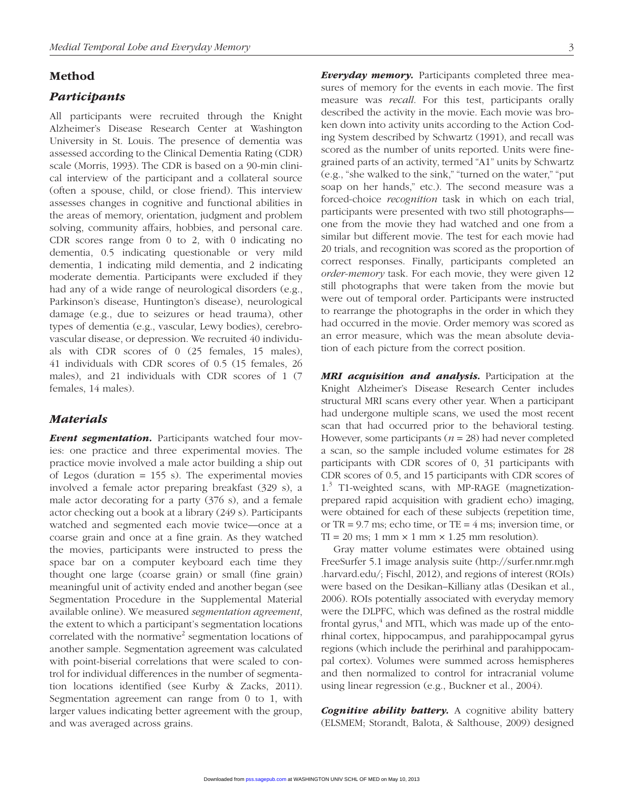# Method

#### *Participants*

All participants were recruited through the Knight Alzheimer's Disease Research Center at Washington University in St. Louis. The presence of dementia was assessed according to the Clinical Dementia Rating (CDR) scale (Morris, 1993). The CDR is based on a 90-min clinical interview of the participant and a collateral source (often a spouse, child, or close friend). This interview assesses changes in cognitive and functional abilities in the areas of memory, orientation, judgment and problem solving, community affairs, hobbies, and personal care. CDR scores range from 0 to 2, with 0 indicating no dementia, 0.5 indicating questionable or very mild dementia, 1 indicating mild dementia, and 2 indicating moderate dementia. Participants were excluded if they had any of a wide range of neurological disorders (e.g., Parkinson's disease, Huntington's disease), neurological damage (e.g., due to seizures or head trauma), other types of dementia (e.g., vascular, Lewy bodies), cerebrovascular disease, or depression. We recruited 40 individuals with CDR scores of 0 (25 females, 15 males), 41 individuals with CDR scores of 0.5 (15 females, 26 males), and 21 individuals with CDR scores of 1 (7 females, 14 males).

# *Materials*

**Event segmentation.** Participants watched four movies: one practice and three experimental movies. The practice movie involved a male actor building a ship out of Legos (duration  $= 155$  s). The experimental movies involved a female actor preparing breakfast (329 s), a male actor decorating for a party (376 s), and a female actor checking out a book at a library (249 s). Participants watched and segmented each movie twice—once at a coarse grain and once at a fine grain. As they watched the movies, participants were instructed to press the space bar on a computer keyboard each time they thought one large (coarse grain) or small (fine grain) meaningful unit of activity ended and another began (see Segmentation Procedure in the Supplemental Material available online). We measured *segmentation agreement*, the extent to which a participant's segmentation locations correlated with the normative<sup>2</sup> segmentation locations of another sample. Segmentation agreement was calculated with point-biserial correlations that were scaled to control for individual differences in the number of segmentation locations identified (see Kurby & Zacks, 2011). Segmentation agreement can range from 0 to 1, with larger values indicating better agreement with the group, and was averaged across grains.

*Everyday memory.* Participants completed three measures of memory for the events in each movie. The first measure was *recall*. For this test, participants orally described the activity in the movie. Each movie was broken down into activity units according to the Action Coding System described by Schwartz (1991), and recall was scored as the number of units reported. Units were finegrained parts of an activity, termed "A1" units by Schwartz (e.g., "she walked to the sink," "turned on the water," "put soap on her hands," etc.). The second measure was a forced-choice *recognition* task in which on each trial, participants were presented with two still photographs one from the movie they had watched and one from a similar but different movie. The test for each movie had 20 trials, and recognition was scored as the proportion of correct responses. Finally, participants completed an *order-memory* task. For each movie, they were given 12 still photographs that were taken from the movie but were out of temporal order. Participants were instructed to rearrange the photographs in the order in which they had occurred in the movie. Order memory was scored as an error measure, which was the mean absolute deviation of each picture from the correct position.

*MRI acquisition and analysis.* Participation at the Knight Alzheimer's Disease Research Center includes structural MRI scans every other year. When a participant had undergone multiple scans, we used the most recent scan that had occurred prior to the behavioral testing. However, some participants (*n* = 28) had never completed a scan, so the sample included volume estimates for 28 participants with CDR scores of 0, 31 participants with CDR scores of 0.5, and 15 participants with CDR scores of 1.<sup>3</sup> T1-weighted scans, with MP-RAGE (magnetizationprepared rapid acquisition with gradient echo) imaging, were obtained for each of these subjects (repetition time, or  $TR = 9.7$  ms; echo time, or  $TE = 4$  ms; inversion time, or  $TI = 20$  ms; 1 mm  $\times$  1 mm  $\times$  1.25 mm resolution).

Gray matter volume estimates were obtained using FreeSurfer 5.1 image analysis suite (http://surfer.nmr.mgh .harvard.edu/; Fischl, 2012), and regions of interest (ROIs) were based on the Desikan–Killiany atlas (Desikan et al., 2006). ROIs potentially associated with everyday memory were the DLPFC, which was defined as the rostral middle frontal gyrus, $^{4}$  and MTL, which was made up of the entorhinal cortex, hippocampus, and parahippocampal gyrus regions (which include the perirhinal and parahippocampal cortex). Volumes were summed across hemispheres and then normalized to control for intracranial volume using linear regression (e.g., Buckner et al., 2004).

*Cognitive ability battery.* A cognitive ability battery (ELSMEM; Storandt, Balota, & Salthouse, 2009) designed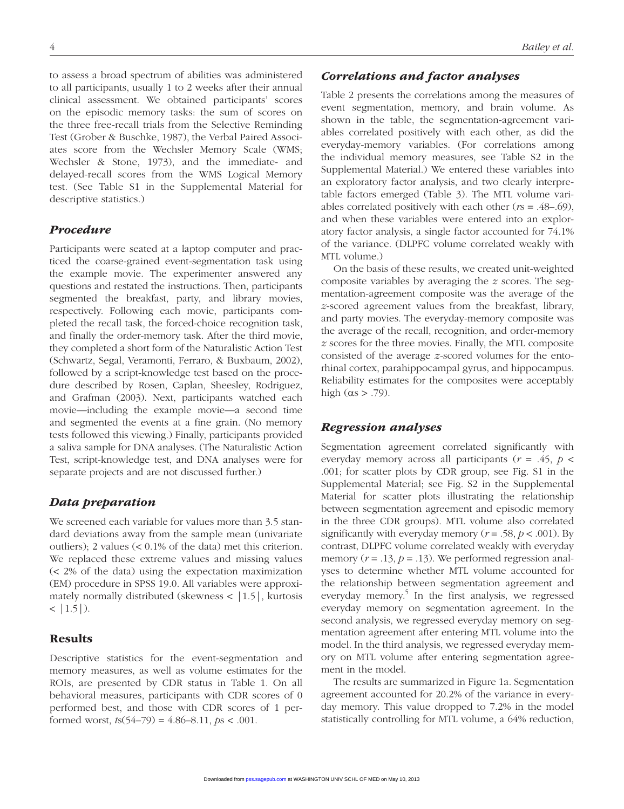to assess a broad spectrum of abilities was administered to all participants, usually 1 to 2 weeks after their annual clinical assessment. We obtained participants' scores on the episodic memory tasks: the sum of scores on the three free-recall trials from the Selective Reminding Test (Grober & Buschke, 1987), the Verbal Paired Associates score from the Wechsler Memory Scale (WMS; Wechsler & Stone, 1973), and the immediate- and delayed-recall scores from the WMS Logical Memory test. (See Table S1 in the Supplemental Material for descriptive statistics.)

#### *Procedure*

Participants were seated at a laptop computer and practiced the coarse-grained event-segmentation task using the example movie. The experimenter answered any questions and restated the instructions. Then, participants segmented the breakfast, party, and library movies, respectively. Following each movie, participants completed the recall task, the forced-choice recognition task, and finally the order-memory task. After the third movie, they completed a short form of the Naturalistic Action Test (Schwartz, Segal, Veramonti, Ferraro, & Buxbaum, 2002), followed by a script-knowledge test based on the procedure described by Rosen, Caplan, Sheesley, Rodriguez, and Grafman (2003). Next, participants watched each movie—including the example movie—a second time and segmented the events at a fine grain. (No memory tests followed this viewing.) Finally, participants provided a saliva sample for DNA analyses. (The Naturalistic Action Test, script-knowledge test, and DNA analyses were for separate projects and are not discussed further.)

# *Data preparation*

We screened each variable for values more than 3.5 standard deviations away from the sample mean (univariate outliers); 2 values (< 0.1% of the data) met this criterion. We replaced these extreme values and missing values (< 2% of the data) using the expectation maximization (EM) procedure in SPSS 19.0. All variables were approximately normally distributed (skewness  $<$  | 1.5 | , kurtosis  $<$  | 1.5 | ).

# **Results**

Descriptive statistics for the event-segmentation and memory measures, as well as volume estimates for the ROIs, are presented by CDR status in Table 1. On all behavioral measures, participants with CDR scores of 0 performed best, and those with CDR scores of 1 performed worst,  $t s(54–79) = 4.86-8.11$ ,  $ps < .001$ .

# *Correlations and factor analyses*

Table 2 presents the correlations among the measures of event segmentation, memory, and brain volume. As shown in the table, the segmentation-agreement variables correlated positively with each other, as did the everyday-memory variables. (For correlations among the individual memory measures, see Table S2 in the Supplemental Material.) We entered these variables into an exploratory factor analysis, and two clearly interpretable factors emerged (Table 3). The MTL volume variables correlated positively with each other (*r*s = .48–.69), and when these variables were entered into an exploratory factor analysis, a single factor accounted for 74.1% of the variance. (DLPFC volume correlated weakly with MTL volume.)

On the basis of these results, we created unit-weighted composite variables by averaging the *z* scores. The segmentation-agreement composite was the average of the *z*-scored agreement values from the breakfast, library, and party movies. The everyday-memory composite was the average of the recall, recognition, and order-memory *z* scores for the three movies. Finally, the MTL composite consisted of the average *z-*scored volumes for the entorhinal cortex, parahippocampal gyrus, and hippocampus. Reliability estimates for the composites were acceptably high  $(\alpha s > .79)$ .

# *Regression analyses*

Segmentation agreement correlated significantly with everyday memory across all participants (*r* = .45, *p* < .001; for scatter plots by CDR group, see Fig. S1 in the Supplemental Material; see Fig. S2 in the Supplemental Material for scatter plots illustrating the relationship between segmentation agreement and episodic memory in the three CDR groups). MTL volume also correlated significantly with everyday memory ( $r = .58$ ,  $p < .001$ ). By contrast, DLPFC volume correlated weakly with everyday memory  $(r = .13, p = .13)$ . We performed regression analyses to determine whether MTL volume accounted for the relationship between segmentation agreement and everyday memory.<sup>5</sup> In the first analysis, we regressed everyday memory on segmentation agreement. In the second analysis, we regressed everyday memory on segmentation agreement after entering MTL volume into the model. In the third analysis, we regressed everyday memory on MTL volume after entering segmentation agreement in the model.

The results are summarized in Figure 1a. Segmentation agreement accounted for 20.2% of the variance in everyday memory. This value dropped to 7.2% in the model statistically controlling for MTL volume, a 64% reduction,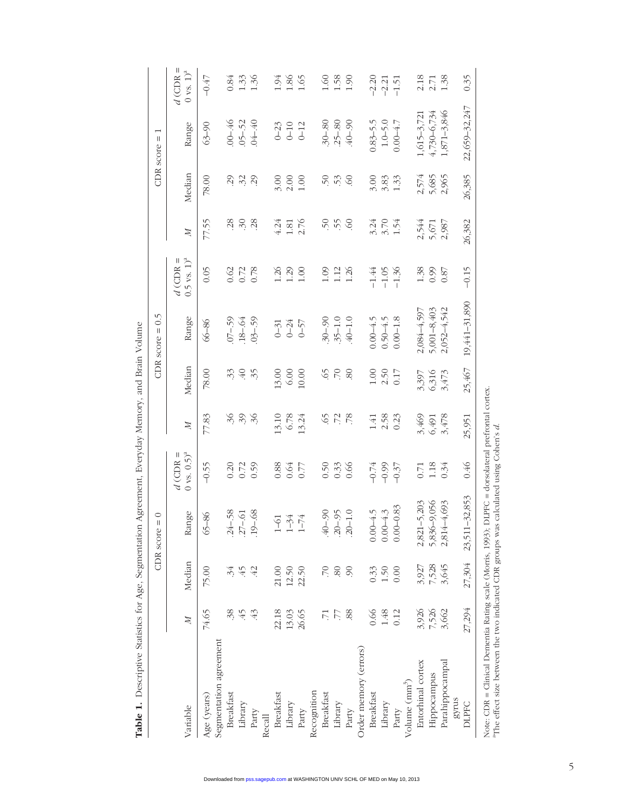|                                                                                                                                                                                             |                 |                | $\circ$<br>$\vert\vert$<br><b>CDR</b> score |                                       |                           |                           | CDR score $= 0.5$ |                                   |                       |                           | $\overline{\phantom{0}}$<br>CDR score $=$ |                                     |
|---------------------------------------------------------------------------------------------------------------------------------------------------------------------------------------------|-----------------|----------------|---------------------------------------------|---------------------------------------|---------------------------|---------------------------|-------------------|-----------------------------------|-----------------------|---------------------------|-------------------------------------------|-------------------------------------|
| Variable                                                                                                                                                                                    | $\mathbb Z$     | Median         | Range                                       | $0 \text{ vs. } 0.5)^a$<br>$d$ (CDR = | $\mathbb{N}$              | Median                    | Range             | $0.5$ vs. $1)^a$<br>Ш<br>$d$ (CDR | $\mathbb{Z}$          | Median                    | Range                                     | $d$ (CDR =<br>$0 \text{ vs. } 1)^a$ |
| Age (years)                                                                                                                                                                                 | 74.65           | 75.00          | $65 - 86$                                   | $-0.55$                               | 77.83                     | 78.00                     | 66-86             | 0.05                              | 77.55                 | 78.00                     | $63 - 90$                                 | $-0.47$                             |
| Segmentation agreement                                                                                                                                                                      |                 |                |                                             |                                       |                           |                           |                   |                                   |                       |                           |                                           |                                     |
| <b>Breakfast</b>                                                                                                                                                                            | 38              | $\ddot{34}$    |                                             | 0.20                                  | 36                        | 33                        | $07 - 59$         | 0.62                              | 28                    | $\mathcal{L}$             | $00 - 46$                                 | 0.84                                |
| Library                                                                                                                                                                                     | 45              | $-45$          | $.24 - 58$<br>$.27 - 61$                    | 0.72                                  | 39                        | $\overline{40}$           | $.18 - .64$       | $0.72$<br>$0.78$                  | $\ddot{.}30$          | 32                        | $.05 - 52$                                | 1.33                                |
| Party                                                                                                                                                                                       | 43              | $-42$          | $.19 - .68$                                 | 0.59                                  | 36                        | $\overline{35}$           | $.03 - .59$       |                                   | 28                    | 29                        | $-64 - 40$                                | 1.36                                |
| Recall                                                                                                                                                                                      |                 |                |                                             |                                       |                           |                           |                   |                                   |                       |                           |                                           |                                     |
| <b>Breakfast</b>                                                                                                                                                                            | 22.18           | 21.00          | $1 - 61$                                    | 0.88                                  | 13.10                     | 13.00                     | $0 - 31$          | $1.26\,$                          | 4.24                  | 3.00                      | $0 - 23$                                  | 1.94                                |
| Library                                                                                                                                                                                     | 13.03           | 12.50          | $1 - 34$<br>$-74$                           | 0.64                                  | 6.78                      | 6.00                      | $0 - 24$          | $1.29$<br>$1.00$                  | 1.81                  | 2.00                      | $0 - 10$                                  | 1.86                                |
| Party                                                                                                                                                                                       | 26.65           | 22.50          |                                             | 0.77                                  | 13.24                     | $10.00\,$                 | $0 - 57$          |                                   | 2.76                  | 1.00                      | $0 - 12$                                  | 1.65                                |
| Recognition                                                                                                                                                                                 |                 |                |                                             |                                       |                           |                           |                   |                                   |                       |                           |                                           |                                     |
| Breakfast                                                                                                                                                                                   | $\overline{71}$ | $\tilde{\sim}$ | $.40 - .90$                                 | 0.50                                  | $\widetilde{\mathcal{S}}$ | $\widetilde{\mathcal{S}}$ | $.30 - .90$       | 1.09                              | $\widetilde{\sim}$    | $\widetilde{\phantom{0}}$ | $.30 - .80$                               | $1.60\,$                            |
| Library                                                                                                                                                                                     | 77              | 80             | $.20-.95$<br>$.20-1.0$                      | 0.33                                  | 72                        | $\overline{70}$           | $.35 - 1.0$       | $1.12$<br>$1.26$                  | $\tilde{\mathcal{L}}$ | 53                        | $.25 - 80$                                | 1.58                                |
| ${\rm Party}$                                                                                                                                                                               | 88              | $\infty$       |                                             | 0.66                                  |                           | 80                        | $.40 - 1.0$       |                                   | 60                    | 60                        | $40 - 90$                                 | 1.90                                |
| Order memory (errors)                                                                                                                                                                       |                 |                |                                             |                                       |                           |                           |                   |                                   |                       |                           |                                           |                                     |
| Breakfast                                                                                                                                                                                   | 0.66            | 0.33           | $0.00 - 4.5$                                | $-0.74$                               | 1.41                      | 1.00                      | $0.00 - 4.5$      | $-1.44$                           | 3.24                  | 3.00                      | $0.83 - 5.5$                              | $-2.20$                             |
| Library                                                                                                                                                                                     | $1.48\,$        | $1.50\,$       | $0.00 - 4.3$                                | $-0.99$                               | 2.58                      | 2.50                      | $0.50 - 4.5$      | $-1.05$                           | $3.70$<br>$1.54$      | 3.83                      | $1.0 - 5.0$                               | $-2.21$                             |
| Party                                                                                                                                                                                       | 0.12            | 0.00           | $0.00 - 0.83$                               | $-0.37$                               | 0.23                      | 0.17                      | $0.00 - 1.8$      | $-1.36$                           |                       | 1.33                      | $0.00 - 4.7$                              | $-1.51$                             |
| Volume $(mm^3)$                                                                                                                                                                             |                 |                |                                             |                                       |                           |                           |                   |                                   |                       |                           |                                           |                                     |
| Entorhinal cortex                                                                                                                                                                           | 3,926           | 3,927          | $2,821 - 5,203$                             | 0.71                                  | 3,469                     | 3,397                     | 2,084-4,597       | 1.38                              | 2,544                 | 2,574                     | 1,615-3,721                               |                                     |
| Hippocampus                                                                                                                                                                                 | 7,526           | 7,528          | 5,836-9,056                                 | $1.18\,$                              | 6,491                     | 6,316                     | 5,001-8,403       | 0.99                              | 5,671<br>2,987        | 5,685                     | 4,730–6,734                               | $2.18$<br>$2.71$                    |
| Parahippocampal<br>syrus                                                                                                                                                                    | 3,662           | 3,645          | 2,814-4,693                                 | 0.34                                  | 3,478                     | 3,473                     | 2,052-4,542       | 0.87                              |                       | 2,965                     | 1,871-3,846                               | 1.38                                |
| <b>DIPFC</b>                                                                                                                                                                                | 27,294          | 27,304         | $1 - 32,853$<br>23,51                       | 0.46                                  | 25,951                    | 25,467                    | 19,441-31,890     | $-0.15$                           | 26,382                | 26,385                    | 22,659-32,247                             | 0.35                                |
| Note: CDR = Clinical Dementia Rating scale (Morris, 1993); DLPFC = dorsolateral prefrontal cortex.<br>"The effect size between the two indicated CDR groups was calculated using Cohen's d. |                 |                |                                             |                                       |                           |                           |                   |                                   |                       |                           |                                           |                                     |

Table 1. Descriptive Statistics for Age, Segmentation Agreement, Everyday Memory, and Brain Volume Table 1. Descriptive Statistics for Age, Segmentation Agreement, Everyday Memory, and Brain Volume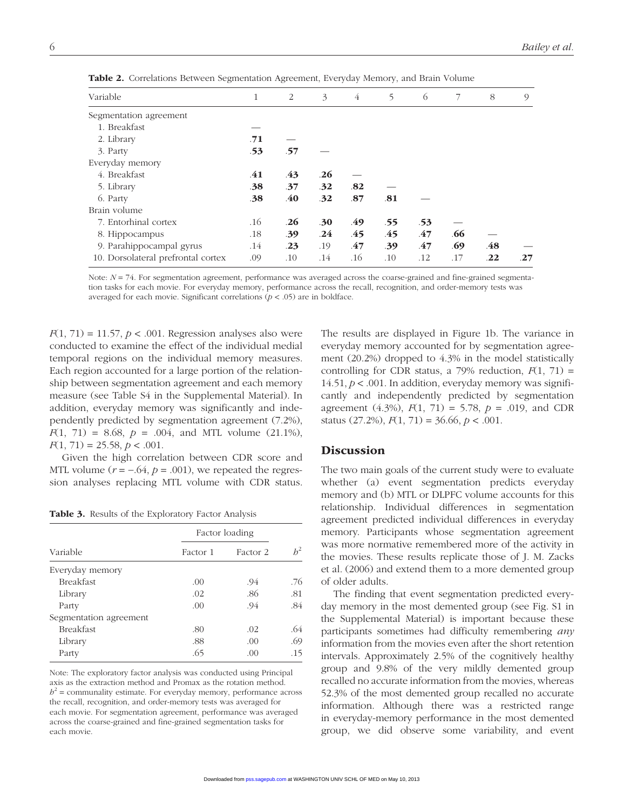| Variable                           | 1   | 2   | 3   | 4   | 5   | 6   | 7   | 8   | 9   |
|------------------------------------|-----|-----|-----|-----|-----|-----|-----|-----|-----|
| Segmentation agreement             |     |     |     |     |     |     |     |     |     |
| 1. Breakfast                       |     |     |     |     |     |     |     |     |     |
| 2. Library                         | .71 |     |     |     |     |     |     |     |     |
| 3. Party                           | .53 | .57 |     |     |     |     |     |     |     |
| Everyday memory                    |     |     |     |     |     |     |     |     |     |
| 4. Breakfast                       | .41 | .43 | .26 |     |     |     |     |     |     |
| 5. Library                         | .38 | .37 | .32 | .82 |     |     |     |     |     |
| 6. Party                           | .38 | .40 | .32 | .87 | .81 |     |     |     |     |
| Brain volume                       |     |     |     |     |     |     |     |     |     |
| 7. Entorhinal cortex               | .16 | .26 | .30 | .49 | .55 | .53 |     |     |     |
| 8. Hippocampus                     | .18 | .39 | .24 | .45 | .45 | .47 | .66 |     |     |
| 9. Parahippocampal gyrus           | .14 | .23 | .19 | .47 | .39 | .47 | .69 | .48 |     |
| 10. Dorsolateral prefrontal cortex | .09 | .10 | .14 | .16 | .10 | .12 | .17 | .22 | .27 |

Table 2. Correlations Between Segmentation Agreement, Everyday Memory, and Brain Volume

Note:  $N = 74$ . For segmentation agreement, performance was averaged across the coarse-grained and fine-grained segmentation tasks for each movie. For everyday memory, performance across the recall, recognition, and order-memory tests was averaged for each movie. Significant correlations  $(p < .05)$  are in boldface.

 $F(1, 71) = 11.57$ ,  $p < .001$ . Regression analyses also were conducted to examine the effect of the individual medial temporal regions on the individual memory measures. Each region accounted for a large portion of the relationship between segmentation agreement and each memory measure (see Table S4 in the Supplemental Material). In addition, everyday memory was significantly and independently predicted by segmentation agreement (7.2%),  $F(1, 71) = 8.68, p = .004, \text{ and MTL volume } (21.1\%).$  $F(1, 71) = 25.58, p < .001.$ 

Given the high correlation between CDR score and MTL volume  $(r = -.64, p = .001)$ , we repeated the regression analyses replacing MTL volume with CDR status.

Table 3. Results of the Exploratory Factor Analysis

|                        | Factor loading |          |       |
|------------------------|----------------|----------|-------|
| Variable               | Factor 1       | Factor 2 | $h^2$ |
| Everyday memory        |                |          |       |
| <b>Breakfast</b>       | .00            | .94      | .76   |
| Library                | .02            | .86      | .81   |
| Party                  | .00            | .94      | .84   |
| Segmentation agreement |                |          |       |
| <b>Breakfast</b>       | .80            | .02      | .64   |
| Library                | .88            | .00      | .69   |
| Party                  | .65            | .00      | .15   |

Note: The exploratory factor analysis was conducted using Principal axis as the extraction method and Promax as the rotation method.  $h^2$  = communality estimate. For everyday memory, performance across the recall, recognition, and order-memory tests was averaged for each movie. For segmentation agreement, performance was averaged across the coarse-grained and fine-grained segmentation tasks for each movie.

The results are displayed in Figure 1b. The variance in everyday memory accounted for by segmentation agreement (20.2%) dropped to 4.3% in the model statistically controlling for CDR status, a 79% reduction,  $F(1, 71) =$ 14.51, *p* < .001. In addition, everyday memory was significantly and independently predicted by segmentation agreement (4.3%), *F*(1, 71) = 5.78, *p* = .019, and CDR status (27.2%), *F*(1, 71) = 36.66, *p* < .001.

# **Discussion**

The two main goals of the current study were to evaluate whether (a) event segmentation predicts everyday memory and (b) MTL or DLPFC volume accounts for this relationship. Individual differences in segmentation agreement predicted individual differences in everyday memory. Participants whose segmentation agreement was more normative remembered more of the activity in the movies. These results replicate those of J. M. Zacks et al. (2006) and extend them to a more demented group of older adults.

The finding that event segmentation predicted everyday memory in the most demented group (see Fig. S1 in the Supplemental Material) is important because these participants sometimes had difficulty remembering *any* information from the movies even after the short retention intervals. Approximately 2.5% of the cognitively healthy group and 9.8% of the very mildly demented group recalled no accurate information from the movies, whereas 52.3% of the most demented group recalled no accurate information. Although there was a restricted range in everyday-memory performance in the most demented group, we did observe some variability, and event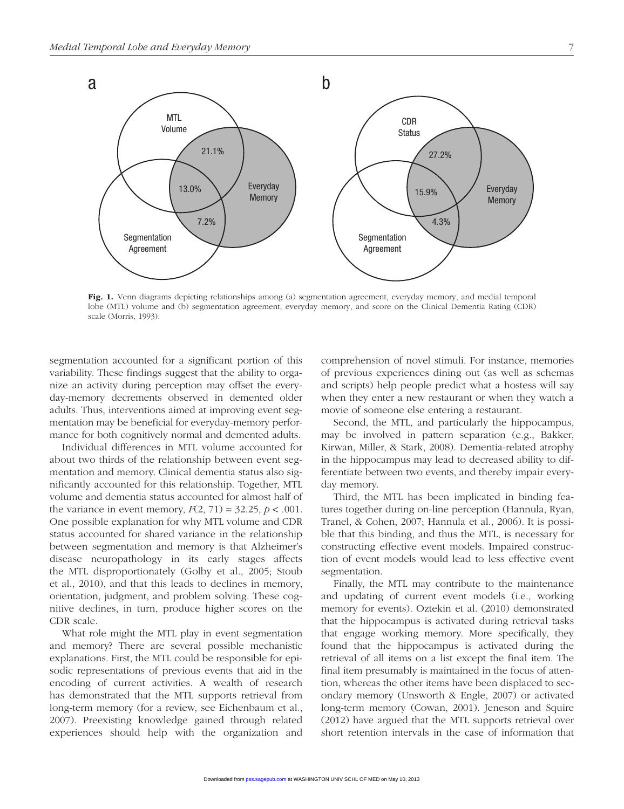

Fig. 1. Venn diagrams depicting relationships among (a) segmentation agreement, everyday memory, and medial temporal lobe (MTL) volume and (b) segmentation agreement, everyday memory, and score on the Clinical Dementia Rating (CDR) scale (Morris, 1993).

segmentation accounted for a significant portion of this variability. These findings suggest that the ability to organize an activity during perception may offset the everyday-memory decrements observed in demented older adults. Thus, interventions aimed at improving event segmentation may be beneficial for everyday-memory performance for both cognitively normal and demented adults.

Individual differences in MTL volume accounted for about two thirds of the relationship between event segmentation and memory. Clinical dementia status also significantly accounted for this relationship. Together, MTL volume and dementia status accounted for almost half of the variance in event memory,  $F(2, 71) = 32.25$ ,  $p < .001$ . One possible explanation for why MTL volume and CDR status accounted for shared variance in the relationship between segmentation and memory is that Alzheimer's disease neuropathology in its early stages affects the MTL disproportionately (Golby et al., 2005; Stoub et al., 2010), and that this leads to declines in memory, orientation, judgment, and problem solving. These cognitive declines, in turn, produce higher scores on the CDR scale.

What role might the MTL play in event segmentation and memory? There are several possible mechanistic explanations. First, the MTL could be responsible for episodic representations of previous events that aid in the encoding of current activities. A wealth of research has demonstrated that the MTL supports retrieval from long-term memory (for a review, see Eichenbaum et al., 2007). Preexisting knowledge gained through related experiences should help with the organization and comprehension of novel stimuli. For instance, memories of previous experiences dining out (as well as schemas and scripts) help people predict what a hostess will say when they enter a new restaurant or when they watch a movie of someone else entering a restaurant.

Second, the MTL, and particularly the hippocampus, may be involved in pattern separation (e.g., Bakker, Kirwan, Miller, & Stark, 2008). Dementia-related atrophy in the hippocampus may lead to decreased ability to differentiate between two events, and thereby impair everyday memory.

Third, the MTL has been implicated in binding features together during on-line perception (Hannula, Ryan, Tranel, & Cohen, 2007; Hannula et al., 2006). It is possible that this binding, and thus the MTL, is necessary for constructing effective event models. Impaired construction of event models would lead to less effective event segmentation.

Finally, the MTL may contribute to the maintenance and updating of current event models (i.e., working memory for events). Oztekin et al. (2010) demonstrated that the hippocampus is activated during retrieval tasks that engage working memory. More specifically, they found that the hippocampus is activated during the retrieval of all items on a list except the final item. The final item presumably is maintained in the focus of attention, whereas the other items have been displaced to secondary memory (Unsworth & Engle, 2007) or activated long-term memory (Cowan, 2001). Jeneson and Squire (2012) have argued that the MTL supports retrieval over short retention intervals in the case of information that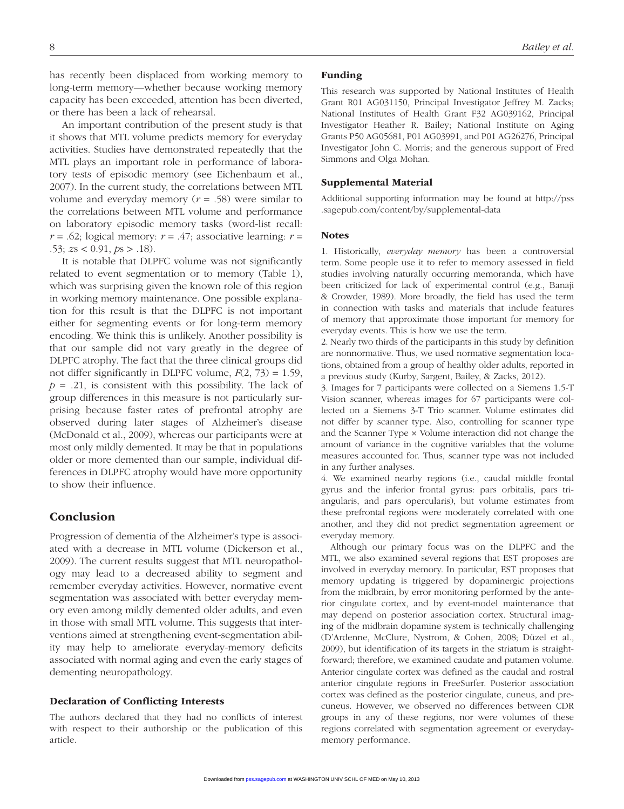has recently been displaced from working memory to long-term memory—whether because working memory capacity has been exceeded, attention has been diverted, or there has been a lack of rehearsal.

An important contribution of the present study is that it shows that MTL volume predicts memory for everyday activities. Studies have demonstrated repeatedly that the MTL plays an important role in performance of laboratory tests of episodic memory (see Eichenbaum et al., 2007). In the current study, the correlations between MTL volume and everyday memory  $(r = .58)$  were similar to the correlations between MTL volume and performance on laboratory episodic memory tasks (word-list recall:  $r = .62$ ; logical memory:  $r = .47$ ; associative learning:  $r =$ .53; *z*s < 0.91, *p*s > .18).

It is notable that DLPFC volume was not significantly related to event segmentation or to memory (Table 1), which was surprising given the known role of this region in working memory maintenance. One possible explanation for this result is that the DLPFC is not important either for segmenting events or for long-term memory encoding. We think this is unlikely. Another possibility is that our sample did not vary greatly in the degree of DLPFC atrophy. The fact that the three clinical groups did not differ significantly in DLPFC volume,  $F(2, 73) = 1.59$ ,  $p = 0.21$ , is consistent with this possibility. The lack of group differences in this measure is not particularly surprising because faster rates of prefrontal atrophy are observed during later stages of Alzheimer's disease (McDonald et al., 2009), whereas our participants were at most only mildly demented. It may be that in populations older or more demented than our sample, individual differences in DLPFC atrophy would have more opportunity to show their influence.

# Conclusion

Progression of dementia of the Alzheimer's type is associated with a decrease in MTL volume (Dickerson et al., 2009). The current results suggest that MTL neuropathology may lead to a decreased ability to segment and remember everyday activities. However, normative event segmentation was associated with better everyday memory even among mildly demented older adults, and even in those with small MTL volume. This suggests that interventions aimed at strengthening event-segmentation ability may help to ameliorate everyday-memory deficits associated with normal aging and even the early stages of dementing neuropathology.

#### Declaration of Conflicting Interests

The authors declared that they had no conflicts of interest with respect to their authorship or the publication of this article.

#### Funding

This research was supported by National Institutes of Health Grant R01 AG031150, Principal Investigator Jeffrey M. Zacks; National Institutes of Health Grant F32 AG039162, Principal Investigator Heather R. Bailey; National Institute on Aging Grants P50 AG05681, P01 AG03991, and P01 AG26276, Principal Investigator John C. Morris; and the generous support of Fred Simmons and Olga Mohan.

#### Supplemental Material

Additional supporting information may be found at http://pss .sagepub.com/content/by/supplemental-data

#### Notes

1. Historically, *everyday memory* has been a controversial term. Some people use it to refer to memory assessed in field studies involving naturally occurring memoranda, which have been criticized for lack of experimental control (e.g., Banaji & Crowder, 1989). More broadly, the field has used the term in connection with tasks and materials that include features of memory that approximate those important for memory for everyday events. This is how we use the term.

2. Nearly two thirds of the participants in this study by definition are nonnormative. Thus, we used normative segmentation locations, obtained from a group of healthy older adults, reported in a previous study (Kurby, Sargent, Bailey, & Zacks, 2012).

3. Images for 7 participants were collected on a Siemens 1.5-T Vision scanner, whereas images for 67 participants were collected on a Siemens 3-T Trio scanner. Volume estimates did not differ by scanner type. Also, controlling for scanner type and the Scanner Type × Volume interaction did not change the amount of variance in the cognitive variables that the volume measures accounted for. Thus, scanner type was not included in any further analyses.

4. We examined nearby regions (i.e., caudal middle frontal gyrus and the inferior frontal gyrus: pars orbitalis, pars triangularis, and pars opercularis), but volume estimates from these prefrontal regions were moderately correlated with one another, and they did not predict segmentation agreement or everyday memory.

Although our primary focus was on the DLPFC and the MTL, we also examined several regions that EST proposes are involved in everyday memory. In particular, EST proposes that memory updating is triggered by dopaminergic projections from the midbrain, by error monitoring performed by the anterior cingulate cortex, and by event-model maintenance that may depend on posterior association cortex. Structural imaging of the midbrain dopamine system is technically challenging (D'Ardenne, McClure, Nystrom, & Cohen, 2008; Düzel et al., 2009), but identification of its targets in the striatum is straightforward; therefore, we examined caudate and putamen volume. Anterior cingulate cortex was defined as the caudal and rostral anterior cingulate regions in FreeSurfer. Posterior association cortex was defined as the posterior cingulate, cuneus, and precuneus. However, we observed no differences between CDR groups in any of these regions, nor were volumes of these regions correlated with segmentation agreement or everydaymemory performance.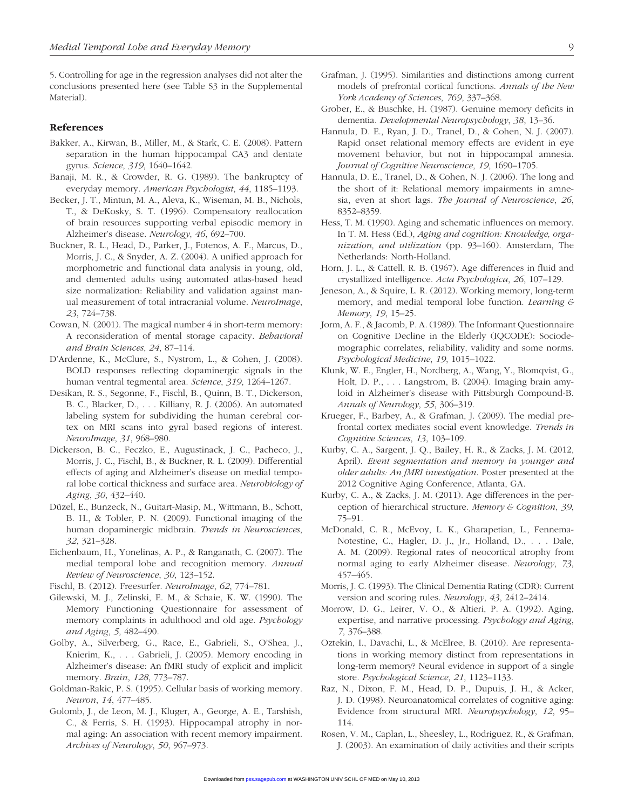5. Controlling for age in the regression analyses did not alter the conclusions presented here (see Table S3 in the Supplemental Material).

#### **References**

- Bakker, A., Kirwan, B., Miller, M., & Stark, C. E. (2008). Pattern separation in the human hippocampal CA3 and dentate gyrus. *Science*, *319*, 1640–1642.
- Banaji, M. R., & Crowder, R. G. (1989). The bankruptcy of everyday memory. *American Psychologist*, *44*, 1185–1193.
- Becker, J. T., Mintun, M. A., Aleva, K., Wiseman, M. B., Nichols, T., & DeKosky, S. T. (1996). Compensatory reallocation of brain resources supporting verbal episodic memory in Alzheimer's disease. *Neurology*, *46*, 692–700.
- Buckner, R. L., Head, D., Parker, J., Fotenos, A. F., Marcus, D., Morris, J. C., & Snyder, A. Z. (2004). A unified approach for morphometric and functional data analysis in young, old, and demented adults using automated atlas-based head size normalization: Reliability and validation against manual measurement of total intracranial volume. *NeuroImage*, *23*, 724–738.
- Cowan, N. (2001). The magical number 4 in short-term memory: A reconsideration of mental storage capacity. *Behavioral and Brain Sciences*, *24*, 87–114.
- D'Ardenne, K., McClure, S., Nystrom, L., & Cohen, J. (2008). BOLD responses reflecting dopaminergic signals in the human ventral tegmental area. *Science*, *319*, 1264–1267.
- Desikan, R. S., Segonne, F., Fischl, B., Quinn, B. T., Dickerson, B. C., Blacker, D., . . . Killiany, R. J. (2006). An automated labeling system for subdividing the human cerebral cortex on MRI scans into gyral based regions of interest. *NeuroImage*, *31*, 968–980.
- Dickerson, B. C., Feczko, E., Augustinack, J. C., Pacheco, J., Morris, J. C., Fischl, B., & Buckner, R. L. (2009). Differential effects of aging and Alzheimer's disease on medial temporal lobe cortical thickness and surface area. *Neurobiology of Aging*, *30*, 432–440.
- Düzel, E., Bunzeck, N., Guitart-Masip, M., Wittmann, B., Schott, B. H., & Tobler, P. N. (2009). Functional imaging of the human dopaminergic midbrain. *Trends in Neurosciences*, *32*, 321–328.
- Eichenbaum, H., Yonelinas, A. P., & Ranganath, C. (2007). The medial temporal lobe and recognition memory. *Annual Review of Neuroscience*, *30*, 123–152.
- Fischl, B. (2012). Freesurfer. *NeuroImage*, *62*, 774–781.
- Gilewski, M. J., Zelinski, E. M., & Schaie, K. W. (1990). The Memory Functioning Questionnaire for assessment of memory complaints in adulthood and old age. *Psychology and Aging*, *5*, 482–490.
- Golby, A., Silverberg, G., Race, E., Gabrieli, S., O'Shea, J., Knierim, K., . . . Gabrieli, J. (2005). Memory encoding in Alzheimer's disease: An fMRI study of explicit and implicit memory. *Brain*, *128*, 773–787.
- Goldman-Rakic, P. S. (1995). Cellular basis of working memory. *Neuron*, *14*, 477–485.
- Golomb, J., de Leon, M. J., Kluger, A., George, A. E., Tarshish, C., & Ferris, S. H. (1993). Hippocampal atrophy in normal aging: An association with recent memory impairment. *Archives of Neurology*, *50*, 967–973.
- Grafman, J. (1995). Similarities and distinctions among current models of prefrontal cortical functions. *Annals of the New York Academy of Sciences*, *769*, 337–368.
- Grober, E., & Buschke, H. (1987). Genuine memory deficits in dementia. *Developmental Neuropsychology*, *38*, 13–36.
- Hannula, D. E., Ryan, J. D., Tranel, D., & Cohen, N. J. (2007). Rapid onset relational memory effects are evident in eye movement behavior, but not in hippocampal amnesia. *Journal of Cognitive Neuroscience*, *19*, 1690–1705.
- Hannula, D. E., Tranel, D., & Cohen, N. J. (2006). The long and the short of it: Relational memory impairments in amnesia, even at short lags. *The Journal of Neuroscience*, *26*, 8352–8359.
- Hess, T. M. (1990). Aging and schematic influences on memory. In T. M. Hess (Ed.), *Aging and cognition: Knowledge, organization, and utilization* (pp. 93–160). Amsterdam, The Netherlands: North-Holland.
- Horn, J. L., & Cattell, R. B. (1967). Age differences in fluid and crystallized intelligence. *Acta Psychologica*, *26*, 107–129.
- Jeneson, A., & Squire, L. R. (2012). Working memory, long-term memory, and medial temporal lobe function. *Learning & Memory*, *19*, 15–25.
- Jorm, A. F., & Jacomb, P. A. (1989). The Informant Questionnaire on Cognitive Decline in the Elderly (IQCODE): Sociodemographic correlates, reliability, validity and some norms. *Psychological Medicine*, *19*, 1015–1022.
- Klunk, W. E., Engler, H., Nordberg, A., Wang, Y., Blomqvist, G., Holt, D. P., . . . Langstrom, B. (2004). Imaging brain amyloid in Alzheimer's disease with Pittsburgh Compound-B. *Annals of Neurology*, *55*, 306–319.
- Krueger, F., Barbey, A., & Grafman, J. (2009). The medial prefrontal cortex mediates social event knowledge. *Trends in Cognitive Sciences*, *13*, 103–109.
- Kurby, C. A., Sargent, J. Q., Bailey, H. R., & Zacks, J. M. (2012, April). *Event segmentation and memory in younger and older adults: An fMRI investigation*. Poster presented at the 2012 Cognitive Aging Conference, Atlanta, GA.
- Kurby, C. A., & Zacks, J. M. (2011). Age differences in the perception of hierarchical structure. *Memory & Cognition*, *39*, 75–91.
- McDonald, C. R., McEvoy, L. K., Gharapetian, L., Fennema-Notestine, C., Hagler, D. J., Jr., Holland, D., . . . Dale, A. M. (2009). Regional rates of neocortical atrophy from normal aging to early Alzheimer disease. *Neurology*, *73*, 457–465.
- Morris, J. C. (1993). The Clinical Dementia Rating (CDR): Current version and scoring rules. *Neurology*, *43*, 2412–2414.
- Morrow, D. G., Leirer, V. O., & Altieri, P. A. (1992). Aging, expertise, and narrative processing. *Psychology and Aging*, *7*, 376–388.
- Oztekin, I., Davachi, L., & McElree, B. (2010). Are representations in working memory distinct from representations in long-term memory? Neural evidence in support of a single store. *Psychological Science*, *21*, 1123–1133.
- Raz, N., Dixon, F. M., Head, D. P., Dupuis, J. H., & Acker, J. D. (1998). Neuroanatomical correlates of cognitive aging: Evidence from structural MRI. *Neuropsychology*, *12*, 95– 114.
- Rosen, V. M., Caplan, L., Sheesley, L., Rodriguez, R., & Grafman, J. (2003). An examination of daily activities and their scripts